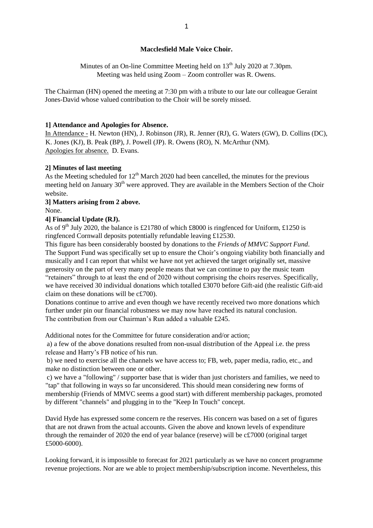## **Macclesfield Male Voice Choir.**

Minutes of an On-line Committee Meeting held on 13<sup>th</sup> July 2020 at 7.30pm. Meeting was held using Zoom – Zoom controller was R. Owens.

The Chairman (HN) opened the meeting at 7:30 pm with a tribute to our late our colleague Geraint Jones-David whose valued contribution to the Choir will be sorely missed.

#### **1] Attendance and Apologies for Absence.**

In Attendance - H. Newton (HN), J. Robinson (JR), R. Jenner (RJ), G. Waters (GW), D. Collins (DC), K. Jones (KJ), B. Peak (BP), J. Powell (JP). R. Owens (RO), N. McArthur (NM). Apologies for absence. D. Evans.

#### **2] Minutes of last meeting**

As the Meeting scheduled for  $12<sup>th</sup>$  March 2020 had been cancelled, the minutes for the previous meeting held on January  $30<sup>th</sup>$  were approved. They are available in the Members Section of the Choir website.

# **3] Matters arising from 2 above.**

None.

## **4] Financial Update (RJ).**

As of 9<sup>th</sup> July 2020, the balance is £21780 of which £8000 is ringfenced for Uniform, £1250 is ringfenced Cornwall deposits potentially refundable leaving £12530.

This figure has been considerably boosted by donations to the *Friends of MMVC Support Fund*. The Support Fund was specifically set up to ensure the Choir's ongoing viability both financially and musically and I can report that whilst we have not yet achieved the target originally set, massive generosity on the part of very many people means that we can continue to pay the music team "retainers" through to at least the end of 2020 without comprising the choirs reserves. Specifically, we have received 30 individual donations which totalled £3070 before Gift-aid (the realistic Gift-aid claim on these donations will be c£700).

Donations continue to arrive and even though we have recently received two more donations which further under pin our financial robustness we may now have reached its natural conclusion. The contribution from our Chairman's Run added a valuable £245.

Additional notes for the Committee for future consideration and/or action;

a) a few of the above donations resulted from non-usual distribution of the Appeal i.e. the press release and Harry's FB notice of his run.

b) we need to exercise all the channels we have access to; FB, web, paper media, radio, etc., and make no distinction between one or other.

c) we have a "following" / supporter base that is wider than just choristers and families, we need to "tap" that following in ways so far unconsidered. This should mean considering new forms of membership (Friends of MMVC seems a good start) with different membership packages, promoted by different "channels" and plugging in to the "Keep In Touch" concept.

David Hyde has expressed some concern re the reserves. His concern was based on a set of figures that are not drawn from the actual accounts. Given the above and known levels of expenditure through the remainder of 2020 the end of year balance (reserve) will be c£7000 (original target £5000-6000).

Looking forward, it is impossible to forecast for 2021 particularly as we have no concert programme revenue projections. Nor are we able to project membership/subscription income. Nevertheless, this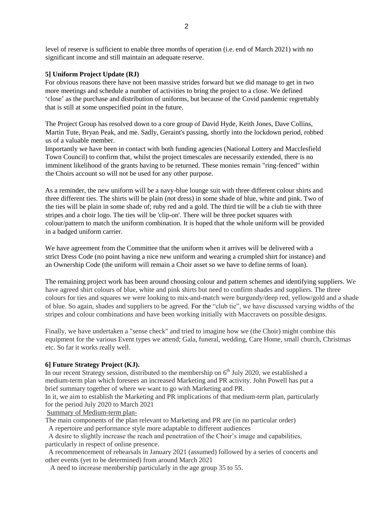level of reserve is sufficient to enable three months of operation (i.e. end of March 2021) with no significant income and still maintain an adequate reserve.

## **5] Uniform Project Update (RJ)**

For obvious reasons there have not been massive strides forward but we did manage to get in two more meetings and schedule a number of activities to bring the project to a close. We defined 'close' as the purchase and distribution of uniforms, but because of the Covid pandemic regrettably that is still at some unspecified point in the future.

The Project Group has resolved down to a core group of David Hyde, Keith Jones, Dave Collins, Martin Tute, Bryan Peak, and me. Sadly, Geraint's passing, shortly into the lockdown period, robbed us of a valuable member.

Importantly we have been in contact with both funding agencies (National Lottery and Macclesfield Town Council) to confirm that, whilst the project timescales are necessarily extended, there is no imminent likelihood of the grants having to be returned. These monies remain "ring-fenced" within the Choirs account so will not be used for any other purpose.

As a reminder, the new uniform will be a navy-blue lounge suit with three different colour shirts and three different ties. The shirts will be plain (not dress) in some shade of blue, white and pink. Two of the ties will be plain in some shade of; ruby red and a gold. The third tie will be a club tie with three stripes and a choir logo. The ties will be 'clip-on'. There will be three pocket squares with colour/pattern to match the uniform combination. It is hoped that the whole uniform will be provided in a badged uniform carrier.

We have agreement from the Committee that the uniform when it arrives will be delivered with a strict Dress Code (no point having a nice new uniform and wearing a crumpled shirt for instance) and an Ownership Code (the uniform will remain a Choir asset so we have to define terms of loan).

The remaining project work has been around choosing colour and pattern schemes and identifying suppliers. We have agreed shirt colours of blue, white and pink shirts but need to confirm shades and suppliers. The three colours for ties and squares we were looking to mix-and-match were burgundy/deep red, yellow/gold and a shade of blue. So again, shades and suppliers to be agreed. For the "club tie", we have discussed varying widths of the stripes and colour combinations and have been working initially with Maccravets on possible designs.

Finally, we have undertaken a "sense check" and tried to imagine how we (the Choir) might combine this equipment for the various Event types we attend; Gala, funeral, wedding, Care Home, small church, Christmas etc. So far it works really well.

#### **6] Future Strategy Project (KJ).**

In our recent Strategy session, distributed to the membership on  $6<sup>th</sup>$  July 2020, we established a medium-term plan which foresees an increased Marketing and PR activity. John Powell has put a brief summary together of where we want to go with Marketing and PR.

In it, we aim to establish the Marketing and PR implications of that medium-term plan, particularly for the period July 2020 to March 2021

Summary of Medium-term plan-

The main components of the plan relevant to Marketing and PR are (in no particular order)

A repertoire and performance style more adaptable to different audiences

 A desire to slightly increase the reach and penetration of the Choir's image and capabilities, particularly in respect of online presence.

 A recommencement of rehearsals in January 2021 (assumed) followed by a series of concerts and other events (yet to be determined) from around March 2021

A need to increase membership particularly in the age group 35 to 55.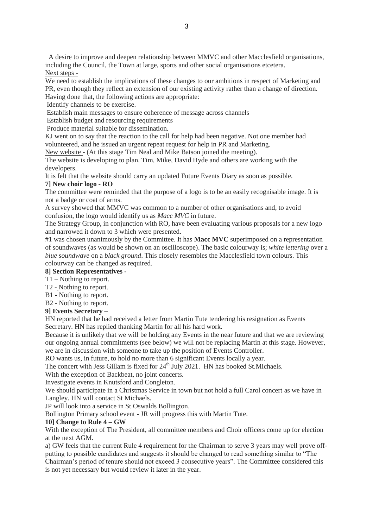A desire to improve and deepen relationship between MMVC and other Macclesfield organisations, including the Council, the Town at large, sports and other social organisations etcetera. Next steps -

We need to establish the implications of these changes to our ambitions in respect of Marketing and PR, even though they reflect an extension of our existing activity rather than a change of direction. Having done that, the following actions are appropriate:

Identify channels to be exercise.

Establish main messages to ensure coherence of message across channels

Establish budget and resourcing requirements

Produce material suitable for dissemination.

KJ went on to say that the reaction to the call for help had been negative. Not one member had volunteered, and he issued an urgent repeat request for help in PR and Marketing.

New website - (At this stage Tim Neal and Mike Batson joined the meeting).

The website is developing to plan. Tim, Mike, David Hyde and others are working with the developers.

It is felt that the website should carry an updated Future Events Diary as soon as possible.

## **7] New choir logo - RO**

The committee were reminded that the purpose of a logo is to be an easily recognisable image. It is not a badge or coat of arms.

A survey showed that MMVC was common to a number of other organisations and, to avoid confusion, the logo would identify us as *Macc MVC* in future.

The Strategy Group, in conjunction with RO, have been evaluating various proposals for a new logo and narrowed it down to 3 which were presented.

#1 was chosen unanimously by the Committee. It has **Macc MVC** superimposed on a representation of soundwaves (as would be shown on an oscilloscope). The basic colourway is; *white lettering* over a *blue soundwave* on a *black ground*. This closely resembles the Macclesfield town colours. This colourway can be changed as required.

### **8] Section Representatives -**

T1 – Nothing to report.

T2 - Nothing to report.

B1 - Nothing to report.

B2 - Nothing to report.

#### **9] Events Secretary –**

HN reported that he had received a letter from Martin Tute tendering his resignation as Events Secretary. HN has replied thanking Martin for all his hard work.

Because it is unlikely that we will be holding any Events in the near future and that we are reviewing our ongoing annual commitments (see below) we will not be replacing Martin at this stage. However, we are in discussion with someone to take up the position of Events Controller.

RO wants us, in future, to hold no more than 6 significant Events locally a year.

The concert with Jess Gillam is fixed for 24<sup>th</sup> July 2021. HN has booked St.Michaels.

With the exception of Backbeat, no joint concerts.

Investigate events in Knutsford and Congleton.

We should participate in a Christmas Service in town but not hold a full Carol concert as we have in Langley. HN will contact St Michaels.

JP will look into a service in St Oswalds Bollington.

Bollington Primary school event - JR will progress this with Martin Tute.

# **10] Change to Rule 4 – GW**

With the exception of The President, all committee members and Choir officers come up for election at the next AGM.

a) GW feels that the current Rule 4 requirement for the Chairman to serve 3 years may well prove offputting to possible candidates and suggests it should be changed to read something similar to "The Chairman's period of tenure should not exceed 3 consecutive years". The Committee considered this is not yet necessary but would review it later in the year.